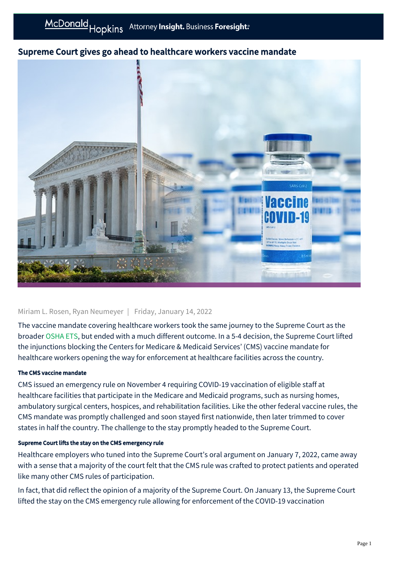# Supreme Court gives go ahead to healthcare workers vaccine mandate



## Miriam L. Rosen, Ryan Neumeyer | Friday, January 14, 2022

The vaccine mandate covering healthcare workers took the same journey to the Supreme Court as the broader [OSHA ETS,](https://businessadvocate.mcdonaldhopkins.com/Insights/January-2022/Supreme-Court-stays-OSHA-ETS) but ended with a much different outcome. In a 5-4 decision, the Supreme Court lifted the injunctions blocking the Centers for Medicare & Medicaid Services' (CMS) vaccine mandate for healthcare workers opening the way for enforcement at healthcare facilities across the country.

### The CMS vaccine mandate

CMS issued an emergency rule on November 4 requiring COVID-19 vaccination of eligible staff at healthcare facilities that participate in the Medicare and Medicaid programs, such as nursing homes, ambulatory surgical centers, hospices, and rehabilitation facilities. Like the other federal vaccine rules, the CMS mandate was promptly challenged and soon stayed first nationwide, then later trimmed to cover states in half the country. The challenge to the stay promptly headed to the Supreme Court.

### Supreme Court lifts the stay on the CMS emergency rule

Healthcare employers who tuned into the Supreme Court's oral argument on January 7, 2022, came away with a sense that a majority of the court felt that the CMS rule was crafted to protect patients and operated like many other CMS rules of participation.

In fact, that did reflect the opinion of a majority of the Supreme Court. On January 13, the Supreme Court lifted the stay on the CMS emergency rule allowing for enforcement of the COVID-19 vaccination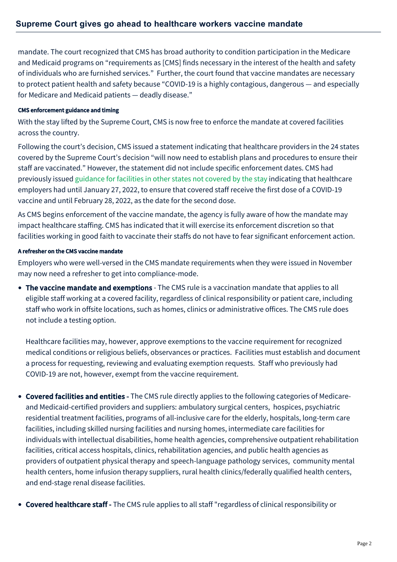mandate. The court recognized that CMS has broad authority to condition participation in the Medicare and Medicaid programs on "requirements as [CMS] finds necessary in the interest of the health and safety of individuals who are furnished services." Further, the court found that vaccine mandates are necessary to protect patient health and safety because "COVID-19 is a highly contagious, dangerous — and especially for Medicare and Medicaid patients — deadly disease."

## CMS enforcement guidance and timing

With the stay lifted by the Supreme Court, CMS is now free to enforce the mandate at covered facilities across the country.

Following the court's decision, CMS issued a statement indicating that healthcare providers in the 24 states covered by the Supreme Court's decision "will now need to establish plans and procedures to ensure their staff are vaccinated." However, the statement did not include specific enforcement dates. CMS had previously issued [guidance for facilities in other states not covered by the stay](https://businessadvocate.mcdonaldhopkins.com/Insights/January-2022/CMS-reinstates-vaccine-mandate-in-25-states) indicating that healthcare employers had until January 27, 2022, to ensure that covered staff receive the first dose of a COVID-19 vaccine and until February 28, 2022, as the date for the second dose.

As CMS begins enforcement of the vaccine mandate, the agency is fully aware of how the mandate may impact healthcare staffing. CMS has indicated that it will exercise its enforcement discretion so that facilities working in good faith to vaccinate their staffs do not have to fear significant enforcement action.

## A refresher on the CMS vaccine mandate

Employers who were well-versed in the CMS mandate requirements when they were issued in November may now need a refresher to get into compliance-mode.

• The vaccine mandate and exemptions - The CMS rule is a vaccination mandate that applies to all eligible staff working at a covered facility, regardless of clinical responsibility or patient care, including staff who work in offsite locations, such as homes, clinics or administrative offices. The CMS rule does not include a testing option.

Healthcare facilities may, however, approve exemptions to the vaccine requirement for recognized medical conditions or religious beliefs, observances or practices. Facilities must establish and document a process for requesting, reviewing and evaluating exemption requests. Staff who previously had COVID-19 are not, however, exempt from the vaccine requirement.

- Covered facilities and entities The CMS rule directly applies to the following categories of Medicareand Medicaid-certified providers and suppliers: ambulatory surgical centers, hospices, psychiatric residential treatment facilities, programs of all-inclusive care for the elderly, hospitals, long-term care facilities, including skilled nursing facilities and nursing homes, intermediate care facilities for individuals with intellectual disabilities, home health agencies, comprehensive outpatient rehabilitation facilities, critical access hospitals, clinics, rehabilitation agencies, and public health agencies as providers of outpatient physical therapy and speech-language pathology services, community mental health centers, home infusion therapy suppliers, rural health clinics/federally qualified health centers, and end-stage renal disease facilities.
- Covered healthcare staff The CMS rule applies to all staff "regardless of clinical responsibility or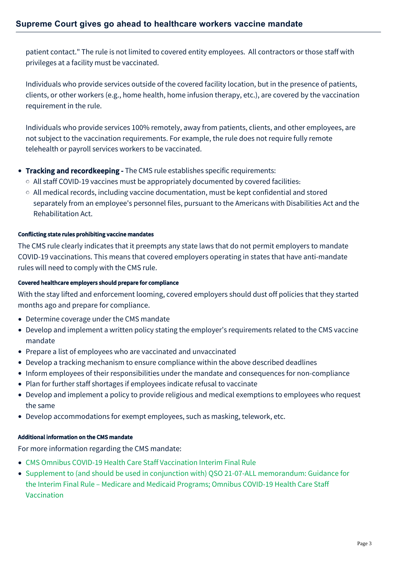patient contact." The rule is not limited to covered entity employees. All contractors or those staff with privileges at a facility must be vaccinated.

Individuals who provide services outside of the covered facility location, but in the presence of patients, clients, or other workers (e.g., home health, home infusion therapy, etc.), are covered by the vaccination requirement in the rule.

Individuals who provide services 100% remotely, away from patients, clients, and other employees, are not subject to the vaccination requirements. For example, the rule does not require fully remote telehealth or payroll services workers to be vaccinated.

- **Tracking and recordkeeping -** The CMS rule establishes specific requirements:
	- $\circ$  All staff COVID-19 vaccines must be appropriately documented by covered facilities.
	- $\circ$  All medical records, including vaccine documentation, must be kept confidential and stored separately from an employee's personnel files, pursuant to the Americans with Disabilities Act and the Rehabilitation Act.

#### Conflicting state rules prohibiting vaccine mandates

The CMS rule clearly indicates that it preempts any state laws that do not permit employers to mandate COVID-19 vaccinations. This means that covered employers operating in states that have anti-mandate rules will need to comply with the CMS rule.

#### Covered healthcare employers should prepare for compliance

With the stay lifted and enforcement looming, covered employers should dust off policies that they started months ago and prepare for compliance.

- Determine coverage under the CMS mandate
- Develop and implement a written policy stating the employer's requirements related to the CMS vaccine mandate
- Prepare a list of employees who are vaccinated and unvaccinated
- Develop a tracking mechanism to ensure compliance within the above described deadlines
- Inform employees of their responsibilities under the mandate and consequences for non-compliance
- Plan for further staff shortages if employees indicate refusal to vaccinate
- Develop and implement a policy to provide religious and medical exemptions to employees who request the same
- Develop accommodations for exempt employees, such as masking, telework, etc.

#### Additional information on the CMS mandate

For more information regarding the CMS mandate:

- [CMS Omnibus COVID-19 Health Care Staff Vaccination Interim Final Rule](https://www.cms.gov/files/document/cms-omnibus-covid-19-health-care-staff-vaccination-requirements-2021.pdf)
- [Supplement to \(and should be used in conjunction with\) QSO 21-07-ALL memorandum: Guidance for](https://www.cms.gov/files/document/qso-22-07-all-attachment-d-hospital.pdf) the Interim Final Rule – Medicare and Medicaid Programs; Omnibus COVID-19 Health Care Staff Vaccination